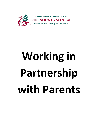

## **Working in Partnership with Parents**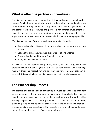## **What is effective partnership working?**

Effective partnerships require commitment, trust and respect from all parties. In order for children to benefit the most from their schooling the development of positive relationships between their parents and school is highly important. The standard school procedures and protocols for parental involvement will need to be utilised and any additional arrangements made to ensure appropriate and effective communication and information sharing is possible.

Effective partnerships from all or each partner are facilitated by:

- Recognising the different skills, knowledge and experience of one another.
- Valuing the skills, knowledge and experience of one another.
- Recognising the need for input from all partners.
- Everyone involved feels valued.

To maintain partnership between parents, schools, local authority, health care professionals and outside agencies it is vital to have mutual understanding, maintain trust and respect for one another and have empathy between all involved. This can also help to assist in reducing conflict and disagreement.

## **The Partnership Process**

The process of building a sound partnership between agencies is as important as the outcomes. The involvement of parents in their child's learning has benefits for everyone involved; it can be a healthy, nurturing and positive learning experience. The same partnership process in the assessment, planning, provision and review of children who have or may have additional learning needs is also essential, so that parents feel involved and confident in the services and that their child's needs are being met.